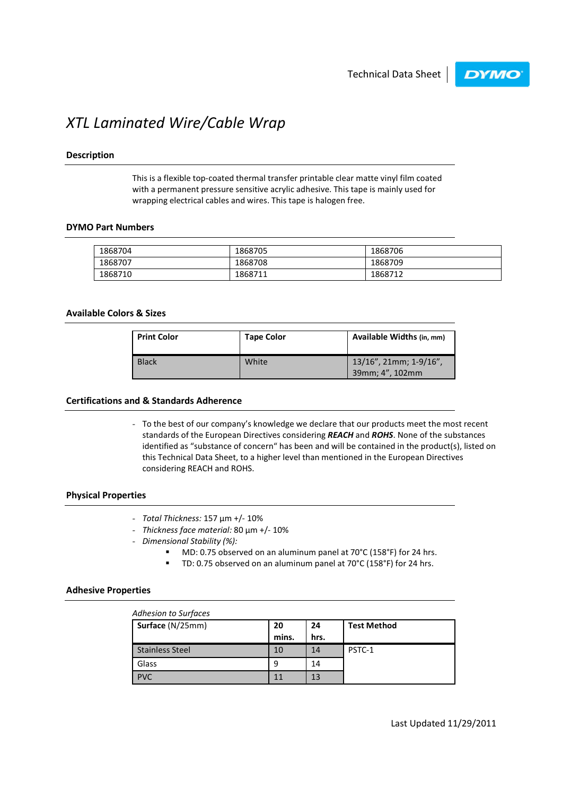

# XTL Laminated Wire/Cable Wrap

## Description

This is a flexible top-coated thermal transfer printable clear matte vinyl film coated with a permanent pressure sensitive acrylic adhesive. This tape is mainly used for wrapping electrical cables and wires. This tape is halogen free.

#### DYMO Part Numbers

| 1868704 | 1868705 | 1868706 |
|---------|---------|---------|
| 1868707 | 1868708 | 1868709 |
| 1868710 | 1868711 | 1868712 |

## Available Colors & Sizes

| <b>Print Color</b> | <b>Tape Color</b> | Available Widths (in, mm)                 |
|--------------------|-------------------|-------------------------------------------|
| <b>Black</b>       | White             | 13/16", 21mm; 1-9/16",<br>39mm; 4", 102mm |

## Certifications and & Standards Adherence

- To the best of our company's knowledge we declare that our products meet the most recent standards of the European Directives considering REACH and ROHS. None of the substances identified as "substance of concern" has been and will be contained in the product(s), listed on this Technical Data Sheet, to a higher level than mentioned in the European Directives considering REACH and ROHS.

## Physical Properties

- Total Thickness: 157 µm +/- 10%
- Thickness face material: 80 µm +/- 10%
- Dimensional Stability (%):
	- MD: 0.75 observed on an aluminum panel at 70°C (158°F) for 24 hrs.
	- TD: 0.75 observed on an aluminum panel at 70°C (158°F) for 24 hrs.

#### Adhesive Properties

| <b>Adhesion to Surfaces</b> |             |            |                    |  |
|-----------------------------|-------------|------------|--------------------|--|
| Surface (N/25mm)            | 20<br>mins. | 24<br>hrs. | <b>Test Method</b> |  |
| <b>Stainless Steel</b>      | 10          | 14         | PSTC-1             |  |
| Glass                       | 9           | 14         |                    |  |
| <b>PVC</b>                  | 11          | 13         |                    |  |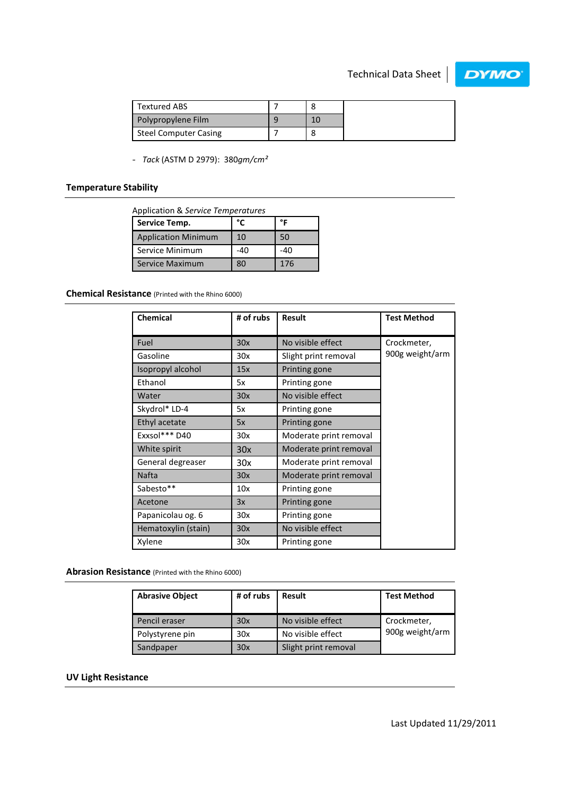

| Textured ABS                 |  |
|------------------------------|--|
| Polypropylene Film           |  |
| <b>Steel Computer Casing</b> |  |

- Tack (ASTM D 2979): 380gm/cm<sup>2</sup>

## Temperature Stability

Application & Service Temperatures

| Service Temp.              | °۴  | ᅂ   |
|----------------------------|-----|-----|
| <b>Application Minimum</b> | 10  | 50  |
| Service Minimum            | -40 | -40 |
| <b>Service Maximum</b>     | 80  | 176 |

Chemical Resistance (Printed with the Rhino 6000)

| <b>Chemical</b>     | # of rubs | <b>Result</b>          | <b>Test Method</b> |
|---------------------|-----------|------------------------|--------------------|
|                     |           |                        |                    |
| Fuel                | 30x       | No visible effect      | Crockmeter,        |
| Gasoline            | 30x       | Slight print removal   | 900g weight/arm    |
| Isopropyl alcohol   | 15x       | Printing gone          |                    |
| Ethanol             | 5x        | Printing gone          |                    |
| Water               | 30x       | No visible effect      |                    |
| Skydrol* LD-4       | 5x        | Printing gone          |                    |
| Ethyl acetate       | 5x        | Printing gone          |                    |
| Exxsol*** D40       | 30x       | Moderate print removal |                    |
| White spirit        | 30x       | Moderate print removal |                    |
| General degreaser   | 30x       | Moderate print removal |                    |
| <b>Nafta</b>        | 30x       | Moderate print removal |                    |
| Sabesto**           | 10x       | Printing gone          |                    |
| Acetone             | 3x        | Printing gone          |                    |
| Papanicolau og. 6   | 30x       | Printing gone          |                    |
| Hematoxylin (stain) | 30x       | No visible effect      |                    |
| Xylene              | 30x       | Printing gone          |                    |

Abrasion Resistance (Printed with the Rhino 6000)

| <b>Abrasive Object</b> | # of rubs | <b>Result</b>        | <b>Test Method</b> |
|------------------------|-----------|----------------------|--------------------|
| Pencil eraser          | 30x       | No visible effect    | Crockmeter,        |
| Polystyrene pin        | 30x       | No visible effect    | 900g weight/arm    |
| Sandpaper              | 30x       | Slight print removal |                    |

## UV Light Resistance